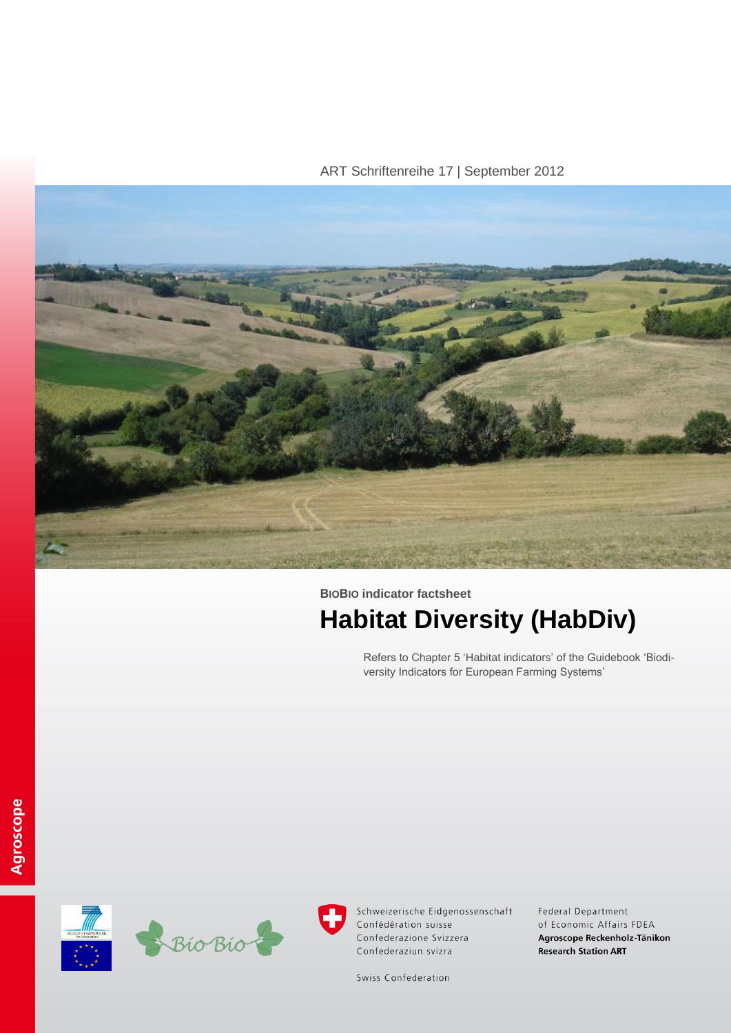ART Schriftenreihe 17 | September 2012



# **BIOBIO indicator factsheet Habitat Diversity (HabDiv)**

Refers to Chapter 5 'Habitat indicators' of the Guidebook 'Biodiversity Indicators for European Farming Systems'





Schweizerische Eidgenossenschaft Confédération suisse Confederazione Svizzera Confederaziun svizra

Federal Department of Economic Affairs FDEA Agroscope Reckenholz-Tänikon **Research Station ART** 

Swiss Confederation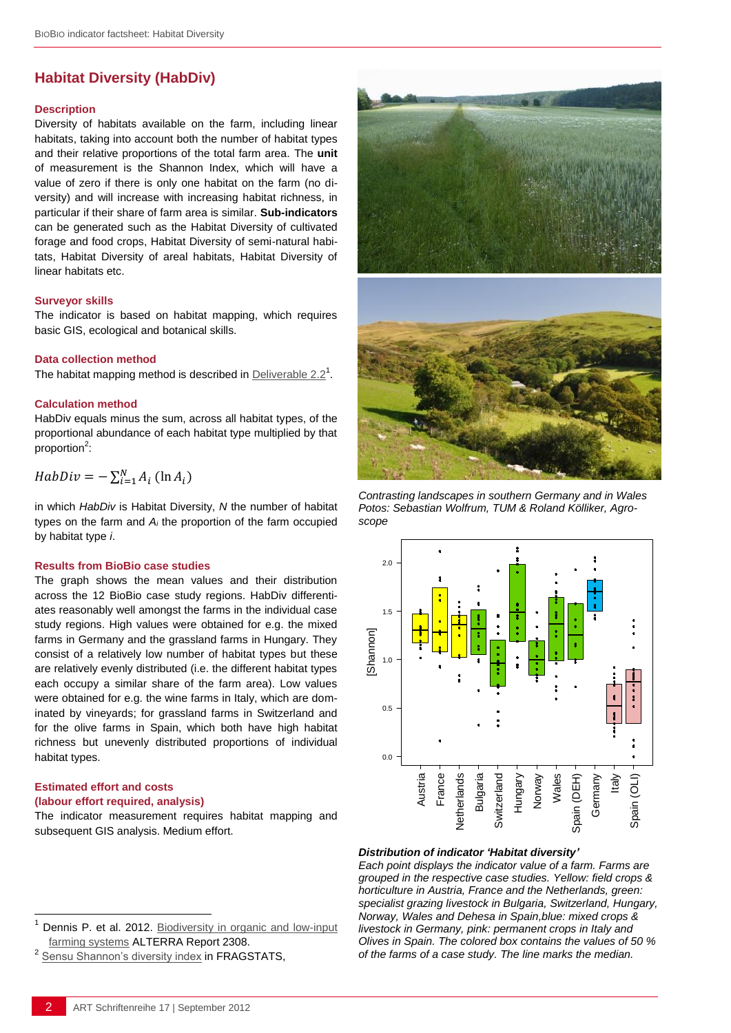# **Habitat Diversity (HabDiv)**

#### **Description**

Diversity of habitats available on the farm, including linear habitats, taking into account both the number of habitat types and their relative proportions of the total farm area. The **unit** of measurement is the Shannon Index, which will have a value of zero if there is only one habitat on the farm (no diversity) and will increase with increasing habitat richness, in particular if their share of farm area is similar. **Sub-indicators** can be generated such as the Habitat Diversity of cultivated forage and food crops, Habitat Diversity of semi-natural habitats, Habitat Diversity of areal habitats, Habitat Diversity of linear habitats etc.

### **Surveyor skills**

The indicator is based on habitat mapping, which requires basic GIS, ecological and botanical skills.

#### **Data collection method**

The habitat mapping method is described in **[Deliverable 2.2](http://www.biobio-indicator.wur.nl/UK/Publications+and+deliverables/)**<sup>1</sup>.

#### **Calculation method**

HabDiv equals minus the sum, across all habitat types, of the proportional abundance of each habitat type multiplied by that proportion<sup>2</sup>:

$$
HabDiv = -\sum_{i=1}^{N} A_i (\ln A_i)
$$

in which *HabDiv* is Habitat Diversity, *N* the number of habitat types on the farm and *A<sup>i</sup>* the proportion of the farm occupied by habitat type *i*.

#### **Results from BioBio case studies**

The graph shows the mean values and their distribution across the 12 BioBio case study regions. HabDiv differentiates reasonably well amongst the farms in the individual case study regions. High values were obtained for e.g. the mixed farms in Germany and the grassland farms in Hungary. They consist of a relatively low number of habitat types but these are relatively evenly distributed (i.e. the different habitat types each occupy a similar share of the farm area). Low values were obtained for e.g. the wine farms in Italy, which are dominated by vineyards; for grassland farms in Switzerland and for the olive farms in Spain, which both have high habitat richness but unevenly distributed proportions of individual habitat types.

## **Estimated effort and costs (labour effort required, analysis)**

l

The indicator measurement requires habitat mapping and subsequent GIS analysis. Medium effort.





*Contrasting landscapes in southern Germany and in Wales Potos: Sebastian Wolfrum, TUM & Roland Kölliker, Agroscope*



#### *Distribution of indicator 'Habitat diversity'*

stimated effort and costs<br>
abour effort required, analysis)<br>
Australia and the indicator measurement requires habitat mapping and<br>
Austria France Spain of the terms of a sensue of a farm. Farms are<br>
and the sensue of a far *Each point displays the indicator value of a farm. Farms are grouped in the respective case studies. Yellow: field crops & horticulture in Austria, France and the Netherlands, green: specialist grazing livestock in Bulgaria, Switzerland, Hungary, Norway, Wales and Dehesa in Spain,blue: mixed crops & livestock in Germany, pink: permanent crops in Italy and Olives in Spain. The colored box contains the values of 50 % of the farms of a case study. The line marks the median.* 

Dennis P. et al. 2012. Biodiversity in organic and low-input [farming systems](http://www.biobio-indicator.org/deliverables.php) ALTERRA Report 2308.

<sup>2</sup>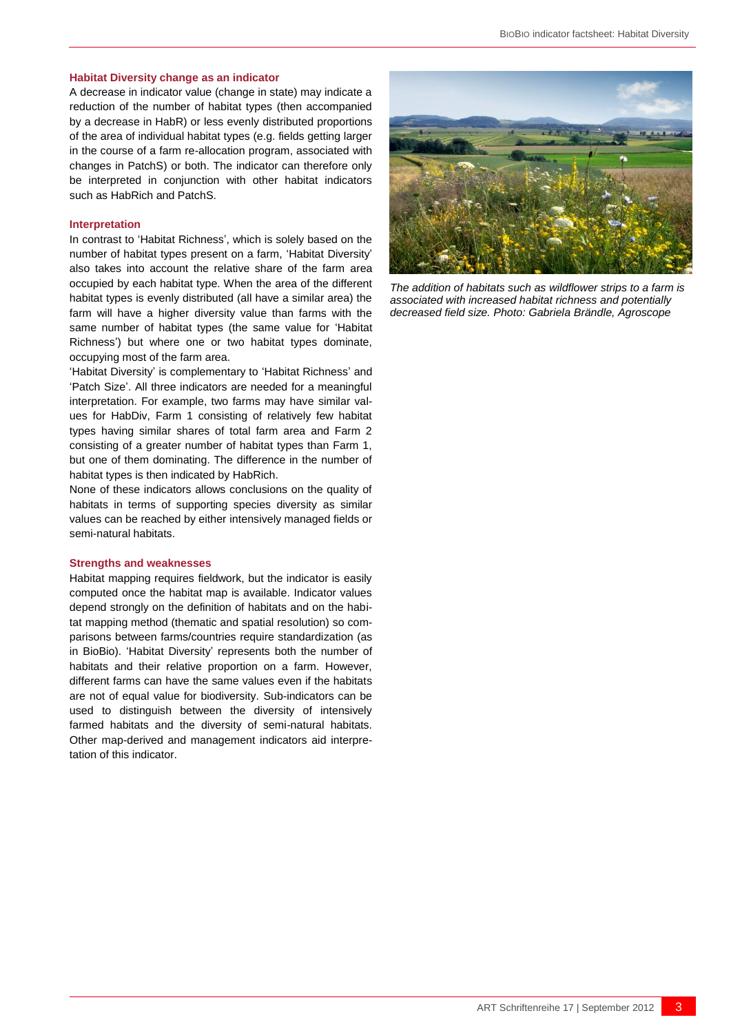#### **Habitat Diversity change as an indicator**

A decrease in indicator value (change in state) may indicate a reduction of the number of habitat types (then accompanied by a decrease in HabR) or less evenly distributed proportions of the area of individual habitat types (e.g. fields getting larger in the course of a farm re-allocation program, associated with changes in PatchS) or both. The indicator can therefore only be interpreted in conjunction with other habitat indicators such as HabRich and PatchS.

#### **Interpretation**

In contrast to 'Habitat Richness', which is solely based on the number of habitat types present on a farm, 'Habitat Diversity' also takes into account the relative share of the farm area occupied by each habitat type. When the area of the different habitat types is evenly distributed (all have a similar area) the farm will have a higher diversity value than farms with the same number of habitat types (the same value for 'Habitat Richness') but where one or two habitat types dominate, occupying most of the farm area.

'Habitat Diversity' is complementary to 'Habitat Richness' and 'Patch Size'. All three indicators are needed for a meaningful interpretation. For example, two farms may have similar values for HabDiv, Farm 1 consisting of relatively few habitat types having similar shares of total farm area and Farm 2 consisting of a greater number of habitat types than Farm 1, but one of them dominating. The difference in the number of habitat types is then indicated by HabRich.

None of these indicators allows conclusions on the quality of habitats in terms of supporting species diversity as similar values can be reached by either intensively managed fields or semi-natural habitats.

#### **Strengths and weaknesses**

Habitat mapping requires fieldwork, but the indicator is easily computed once the habitat map is available. Indicator values depend strongly on the definition of habitats and on the habitat mapping method (thematic and spatial resolution) so comparisons between farms/countries require standardization (as in BioBio). 'Habitat Diversity' represents both the number of habitats and their relative proportion on a farm. However, different farms can have the same values even if the habitats are not of equal value for biodiversity. Sub-indicators can be used to distinguish between the diversity of intensively farmed habitats and the diversity of semi-natural habitats. Other map-derived and management indicators aid interpretation of this indicator.



*The addition of habitats such as wildflower strips to a farm is associated with increased habitat richness and potentially decreased field size. Photo: Gabriela Brändle, Agroscope*